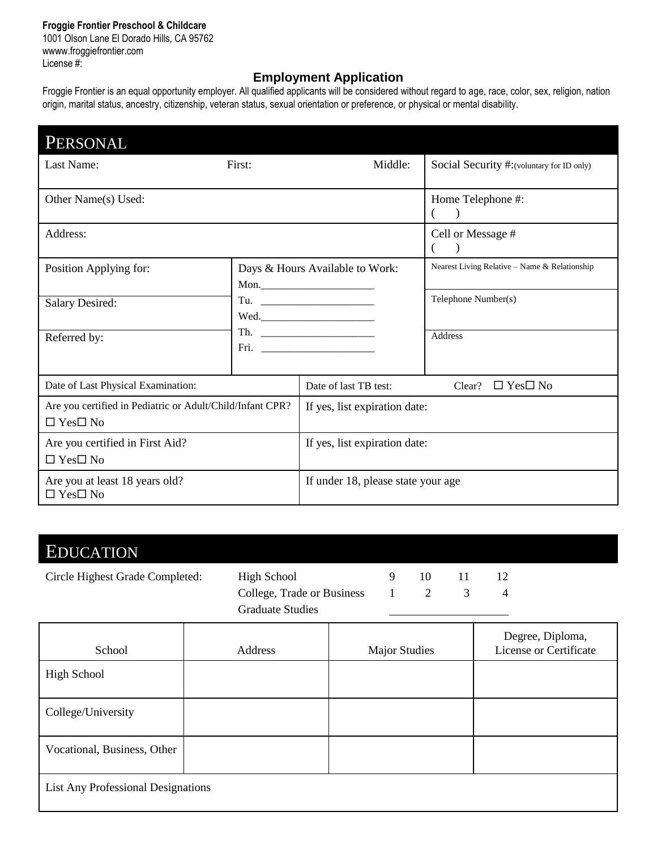#### **Froggie Frontier Preschool & Childcare**

1001 Olson Lane El Dorado Hills, CA 95762 wwww.froggiefrontier.com License #:

### **Employment Application**

Froggie Frontier is an equal opportunity employer. All qualified applicants will be considered without regard to age, race, color, sex, religion, nation origin, marital status, ancestry, citizenship, veteran status, sexual orientation or preference, or physical or mental disability.

| PERSONAL                                                                          |                                         |                                    |                                               |  |  |
|-----------------------------------------------------------------------------------|-----------------------------------------|------------------------------------|-----------------------------------------------|--|--|
| Last Name:                                                                        | First:                                  | Middle:                            | Social Security #: (voluntary for ID only)    |  |  |
| Other Name(s) Used:                                                               |                                         |                                    | Home Telephone #:<br>$\rightarrow$            |  |  |
| Address:                                                                          |                                         |                                    | Cell or Message #                             |  |  |
| Position Applying for:                                                            | Days & Hours Available to Work:<br>Mon. |                                    | Nearest Living Relative - Name & Relationship |  |  |
| <b>Salary Desired:</b>                                                            | Th. $\qquad \qquad$                     |                                    | Telephone Number(s)                           |  |  |
| Referred by:                                                                      |                                         |                                    | <b>Address</b>                                |  |  |
| Date of Last Physical Examination:                                                |                                         | Date of last TB test:              | $\Box$ Yes $\Box$ No<br>Clear?                |  |  |
| Are you certified in Pediatric or Adult/Child/Infant CPR?<br>$\Box$ Yes $\Box$ No |                                         | If yes, list expiration date:      |                                               |  |  |
| Are you certified in First Aid?<br>$\Box$ Yes $\Box$ No                           |                                         | If yes, list expiration date:      |                                               |  |  |
| Are you at least 18 years old?<br>$\Box$ Yes $\Box$ No                            |                                         | If under 18, please state your age |                                               |  |  |

### EDUCATION

Circle Highest Grade Completed: High School 9 10 11 12 College, Trade or Business 1 2 3 4 Graduate Studies

| School                                    | Address | <b>Major Studies</b> | Degree, Diploma,<br>License or Certificate |
|-------------------------------------------|---------|----------------------|--------------------------------------------|
| High School                               |         |                      |                                            |
| College/University                        |         |                      |                                            |
| Vocational, Business, Other               |         |                      |                                            |
| <b>List Any Professional Designations</b> |         |                      |                                            |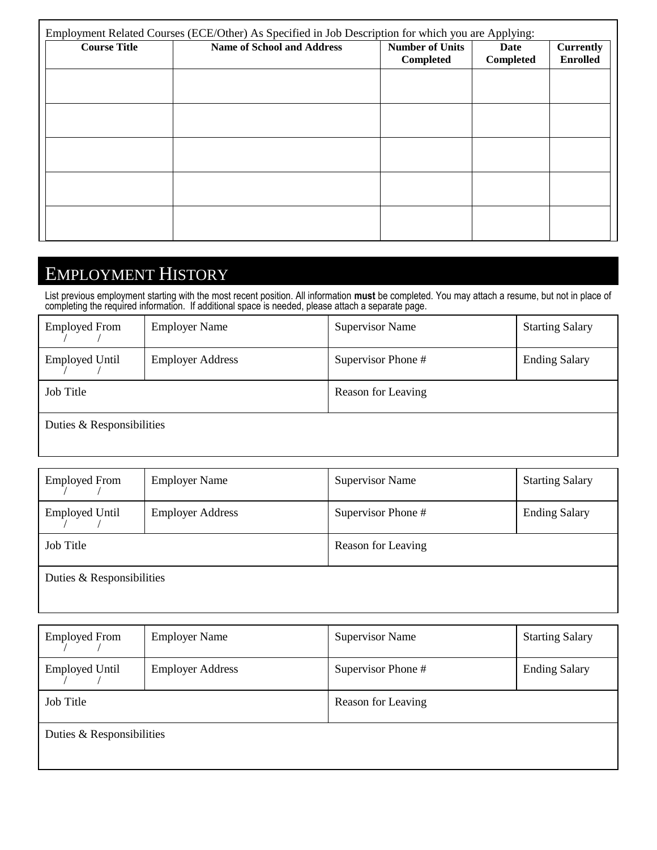| <b>Course Title</b> | <b>Name of School and Address</b> | <b>Number of Units</b><br>Completed | Date<br>Completed | <b>Currently</b><br><b>Enrolled</b> |
|---------------------|-----------------------------------|-------------------------------------|-------------------|-------------------------------------|
|                     |                                   |                                     |                   |                                     |
|                     |                                   |                                     |                   |                                     |
|                     |                                   |                                     |                   |                                     |
|                     |                                   |                                     |                   |                                     |
|                     |                                   |                                     |                   |                                     |
|                     |                                   |                                     |                   |                                     |
|                     |                                   |                                     |                   |                                     |
|                     |                                   |                                     |                   |                                     |
|                     |                                   |                                     |                   |                                     |
|                     |                                   |                                     |                   |                                     |

# EMPLOYMENT HISTORY

List previous employment starting with the most recent position. All information **must** be completed. You may attach a resume, but not in place of completing the required information. If additional space is needed, please attach a separate page.

| <b>Employed From</b>      | <b>Employer Name</b>    | <b>Supervisor Name</b> | <b>Starting Salary</b> |  |
|---------------------------|-------------------------|------------------------|------------------------|--|
| <b>Employed Until</b>     | <b>Employer Address</b> | Supervisor Phone #     | <b>Ending Salary</b>   |  |
| Job Title                 |                         | Reason for Leaving     |                        |  |
| Duties & Responsibilities |                         |                        |                        |  |

| <b>Employed From</b>      | <b>Employer Name</b>    | <b>Supervisor Name</b> | <b>Starting Salary</b> |  |
|---------------------------|-------------------------|------------------------|------------------------|--|
| <b>Employed Until</b>     | <b>Employer Address</b> | Supervisor Phone #     | <b>Ending Salary</b>   |  |
| Job Title                 |                         | Reason for Leaving     |                        |  |
| Duties & Responsibilities |                         |                        |                        |  |

| <b>Employed From</b>      | <b>Employer Name</b>    | <b>Supervisor Name</b> | <b>Starting Salary</b> |  |
|---------------------------|-------------------------|------------------------|------------------------|--|
| <b>Employed Until</b>     | <b>Employer Address</b> | Supervisor Phone #     | <b>Ending Salary</b>   |  |
| Job Title                 |                         | Reason for Leaving     |                        |  |
| Duties & Responsibilities |                         |                        |                        |  |